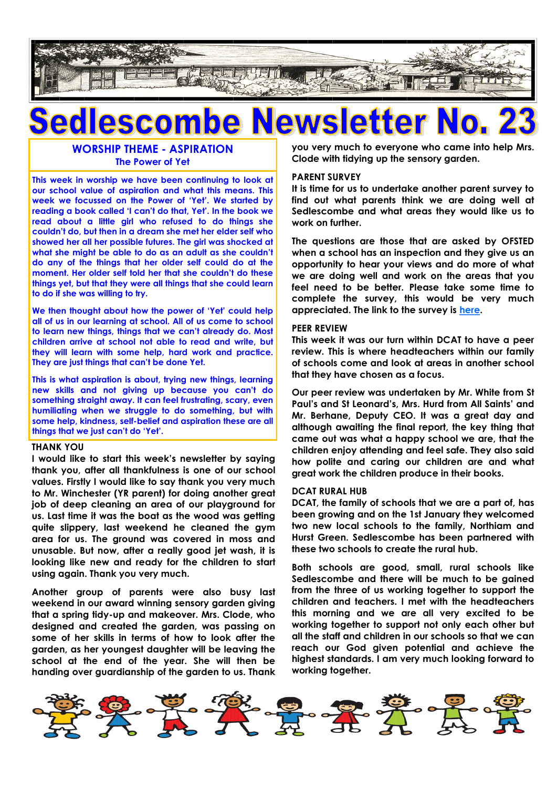

## **ASCO** lei

### **WORSHIP THEME - ASPIRATION The Power of Yet**

**This week in worship we have been continuing to look at our school value of aspiration and what this means. This week we focussed on the Power of 'Yet'. We started by reading a book called 'I can't do that, Yet'. In the book we read about a little girl who refused to do things she couldn't do, but then in a dream she met her elder self who showed her all her possible futures. The girl was shocked at what she might be able to do as an adult as she couldn't do any of the things that her older self could do at the moment. Her older self told her that she couldn't do these things yet, but that they were all things that she could learn to do if she was willing to try.**

**We then thought about how the power of 'Yet' could help all of us in our learning at school. All of us come to school to learn new things, things that we can't already do. Most children arrive at school not able to read and write, but they will learn with some help, hard work and practice. They are just things that can't be done Yet.**

**This is what aspiration is about, trying new things, learning new skills and not giving up because you can't do something straight away. It can feel frustrating, scary, even humiliating when we struggle to do something, but with some help, kindness, self-belief and aspiration these are all things that we just can't do 'Yet'.** 

#### **THANK YOU**

**I would like to start this week's newsletter by saying thank you, after all thankfulness is one of our school values. Firstly I would like to say thank you very much to Mr. Winchester (YR parent) for doing another great job of deep cleaning an area of our playground for us. Last time it was the boat as the wood was getting quite slippery, last weekend he cleaned the gym area for us. The ground was covered in moss and unusable. But now, after a really good jet wash, it is looking like new and ready for the children to start using again. Thank you very much.**

**Another group of parents were also busy last weekend in our award winning sensory garden giving that a spring tidy-up and makeover. Mrs. Clode, who designed and created the garden, was passing on some of her skills in terms of how to look after the garden, as her youngest daughter will be leaving the school at the end of the year. She will then be handing over guardianship of the garden to us. Thank**  **you very much to everyone who came into help Mrs. Clode with tidying up the sensory garden.**

#### **PARENT SURVEY**

**It is time for us to undertake another parent survey to find out what parents think we are doing well at Sedlescombe and what areas they would like us to work on further.**

**The questions are those that are asked by OFSTED when a school has an inspection and they give us an opportunity to hear your views and do more of what we are doing well and work on the areas that you feel need to be better. Please take some time to complete the survey, this would be very much appreciated. The link to the survey is [here.](https://forms.office.com/Pages/ResponsePage.aspx?id=kn1RkxfBX0W6z2BEZFHCnQG4p59LzbJNjF1EWLWr-e1UMDFQWkxIQlVKWVNXSlJFQVg0NkJTSEZOVi4u)**

#### **PEER REVIEW**

**This week it was our turn within DCAT to have a peer review. This is where headteachers within our family of schools come and look at areas in another school that they have chosen as a focus.** 

**Our peer review was undertaken by Mr. White from St Paul's and St Leonard's, Mrs. Hurd from All Saints' and Mr. Berhane, Deputy CEO. It was a great day and although awaiting the final report, the key thing that came out was what a happy school we are, that the children enjoy attending and feel safe. They also said how polite and caring our children are and what great work the children produce in their books.**

#### **DCAT RURAL HUB**

**DCAT, the family of schools that we are a part of, has been growing and on the 1st January they welcomed two new local schools to the family, Northiam and Hurst Green. Sedlescombe has been partnered with these two schools to create the rural hub.**

**Both schools are good, small, rural schools like Sedlescombe and there will be much to be gained from the three of us working together to support the children and teachers. I met with the headteachers this morning and we are all very excited to be working together to support not only each other but all the staff and children in our schools so that we can reach our God given potential and achieve the highest standards. I am very much looking forward to working together.**